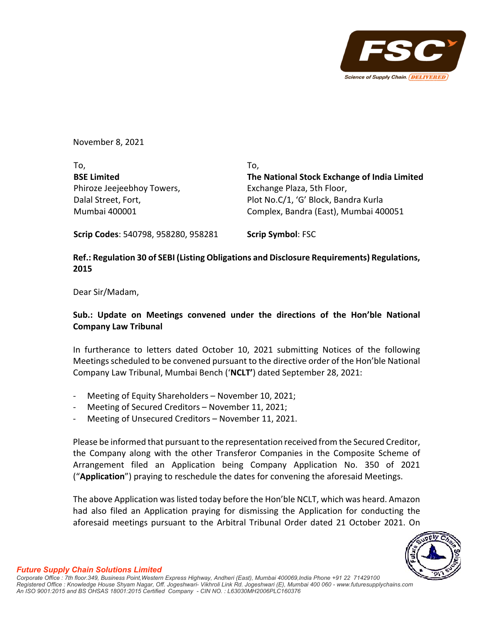

November 8, 2021

To, **BSE Limited** Phiroze Jeejeebhoy Towers, Dalal Street, Fort, Mumbai 400001 To, **The National Stock Exchange of India Limited** Exchange Plaza, 5th Floor, Plot No.C/1, 'G' Block, Bandra Kurla Complex, Bandra (East), Mumbai 400051

**Scrip Codes**: 540798, 958280, 958281 **Scrip Symbol**: FSC

## **Ref.: Regulation 30 of SEBI (Listing Obligations and Disclosure Requirements) Regulations, 2015**

Dear Sir/Madam,

## **Sub.: Update on Meetings convened under the directions of the Hon'ble National Company Law Tribunal**

In furtherance to letters dated October 10, 2021 submitting Notices of the following Meetingsscheduled to be convened pursuant to the directive order of the Hon'ble National Company Law Tribunal, Mumbai Bench ('**NCLT'**) dated September 28, 2021:

- ‐ Meeting of Equity Shareholders November 10, 2021;
- ‐ Meeting of Secured Creditors November 11, 2021;
- ‐ Meeting of Unsecured Creditors November 11, 2021.

Please be informed that pursuant to the representation received from the Secured Creditor, the Company along with the other Transferor Companies in the Composite Scheme of Arrangement filed an Application being Company Application No. 350 of 2021 ("**Application**") praying to reschedule the dates for convening the aforesaid Meetings.

The above Application waslisted today before the Hon'ble NCLT, which was heard. Amazon had also filed an Application praying for dismissing the Application for conducting the aforesaid meetings pursuant to the Arbitral Tribunal Order dated 21 October 2021. On